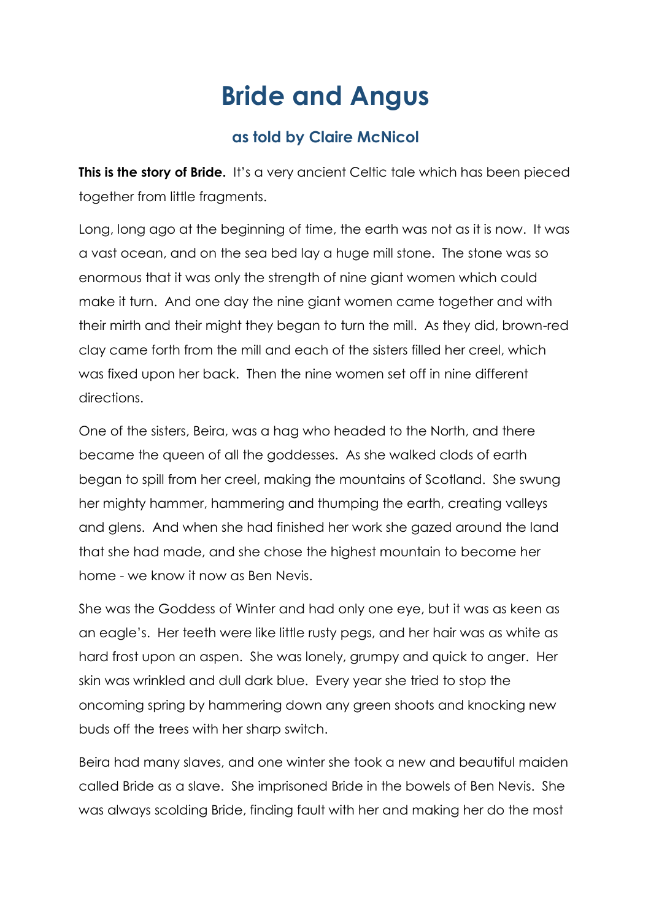## **Bride and Angus**

## **as told by Claire McNicol**

**This is the story of Bride.** It's a very ancient Celtic tale which has been pieced together from little fragments.

Long, long ago at the beginning of time, the earth was not as it is now. It was a vast ocean, and on the sea bed lay a huge mill stone. The stone was so enormous that it was only the strength of nine giant women which could make it turn. And one day the nine giant women came together and with their mirth and their might they began to turn the mill. As they did, brown-red clay came forth from the mill and each of the sisters filled her creel, which was fixed upon her back. Then the nine women set off in nine different directions.

One of the sisters, Beira, was a hag who headed to the North, and there became the queen of all the goddesses. As she walked clods of earth began to spill from her creel, making the mountains of Scotland. She swung her mighty hammer, hammering and thumping the earth, creating valleys and glens. And when she had finished her work she gazed around the land that she had made, and she chose the highest mountain to become her home - we know it now as Ben Nevis.

She was the Goddess of Winter and had only one eye, but it was as keen as an eagle's. Her teeth were like little rusty pegs, and her hair was as white as hard frost upon an aspen. She was lonely, grumpy and quick to anger. Her skin was wrinkled and dull dark blue. Every year she tried to stop the oncoming spring by hammering down any green shoots and knocking new buds off the trees with her sharp switch.

Beira had many slaves, and one winter she took a new and beautiful maiden called Bride as a slave. She imprisoned Bride in the bowels of Ben Nevis. She was always scolding Bride, finding fault with her and making her do the most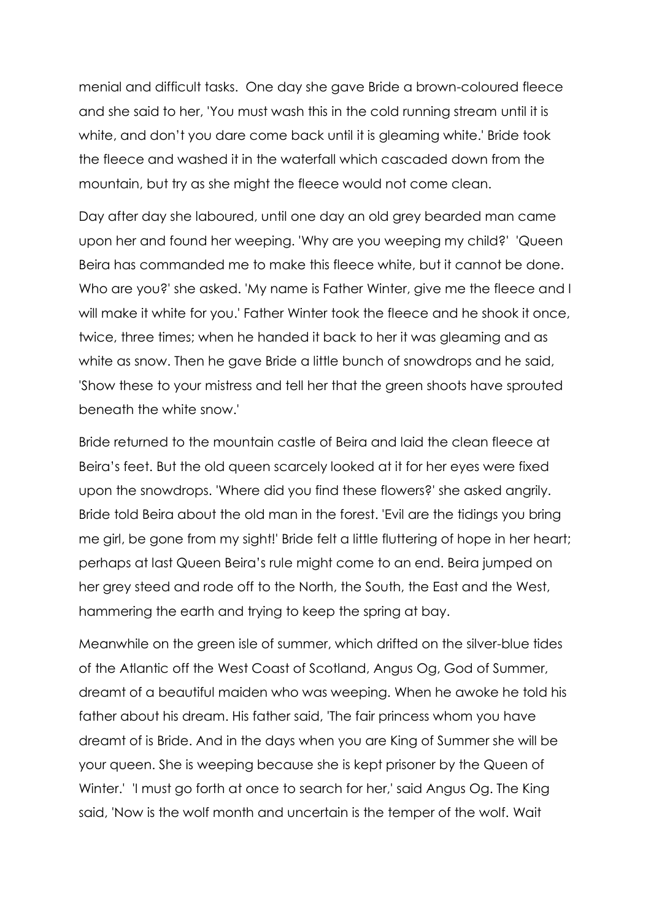menial and difficult tasks. One day she gave Bride a brown-coloured fleece and she said to her, 'You must wash this in the cold running stream until it is white, and don't you dare come back until it is gleaming white.' Bride took the fleece and washed it in the waterfall which cascaded down from the mountain, but try as she might the fleece would not come clean.

Day after day she laboured, until one day an old grey bearded man came upon her and found her weeping. 'Why are you weeping my child?' 'Queen Beira has commanded me to make this fleece white, but it cannot be done. Who are you?' she asked. 'My name is Father Winter, give me the fleece and I will make it white for you.' Father Winter took the fleece and he shook it once, twice, three times; when he handed it back to her it was gleaming and as white as snow. Then he gave Bride a little bunch of snowdrops and he said, 'Show these to your mistress and tell her that the green shoots have sprouted beneath the white snow.'

Bride returned to the mountain castle of Beira and laid the clean fleece at Beira's feet. But the old queen scarcely looked at it for her eyes were fixed upon the snowdrops. 'Where did you find these flowers?' she asked angrily. Bride told Beira about the old man in the forest. 'Evil are the tidings you bring me girl, be gone from my sight!' Bride felt a little fluttering of hope in her heart; perhaps at last Queen Beira's rule might come to an end. Beira jumped on her grey steed and rode off to the North, the South, the East and the West, hammering the earth and trying to keep the spring at bay.

Meanwhile on the green isle of summer, which drifted on the silver-blue tides of the Atlantic off the West Coast of Scotland, Angus Og, God of Summer, dreamt of a beautiful maiden who was weeping. When he awoke he told his father about his dream. His father said, 'The fair princess whom you have dreamt of is Bride. And in the days when you are King of Summer she will be your queen. She is weeping because she is kept prisoner by the Queen of Winter.' 'I must go forth at once to search for her,' said Angus Og. The King said, 'Now is the wolf month and uncertain is the temper of the wolf. Wait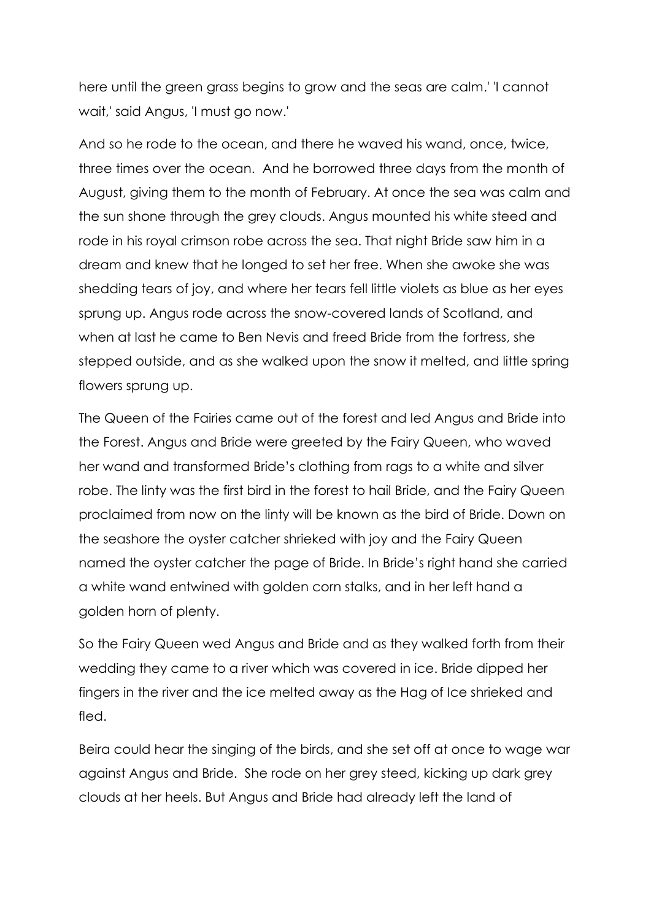here until the green grass begins to grow and the seas are calm.' 'I cannot wait,' said Angus, 'I must go now.'

And so he rode to the ocean, and there he waved his wand, once, twice, three times over the ocean. And he borrowed three days from the month of August, giving them to the month of February. At once the sea was calm and the sun shone through the grey clouds. Angus mounted his white steed and rode in his royal crimson robe across the sea. That night Bride saw him in a dream and knew that he longed to set her free. When she awoke she was shedding tears of joy, and where her tears fell little violets as blue as her eyes sprung up. Angus rode across the snow-covered lands of Scotland, and when at last he came to Ben Nevis and freed Bride from the fortress, she stepped outside, and as she walked upon the snow it melted, and little spring flowers sprung up.

The Queen of the Fairies came out of the forest and led Angus and Bride into the Forest. Angus and Bride were greeted by the Fairy Queen, who waved her wand and transformed Bride's clothing from rags to a white and silver robe. The linty was the first bird in the forest to hail Bride, and the Fairy Queen proclaimed from now on the linty will be known as the bird of Bride. Down on the seashore the oyster catcher shrieked with joy and the Fairy Queen named the oyster catcher the page of Bride. In Bride's right hand she carried a white wand entwined with golden corn stalks, and in her left hand a golden horn of plenty.

So the Fairy Queen wed Angus and Bride and as they walked forth from their wedding they came to a river which was covered in ice. Bride dipped her fingers in the river and the ice melted away as the Hag of Ice shrieked and fled.

Beira could hear the singing of the birds, and she set off at once to wage war against Angus and Bride. She rode on her grey steed, kicking up dark grey clouds at her heels. But Angus and Bride had already left the land of